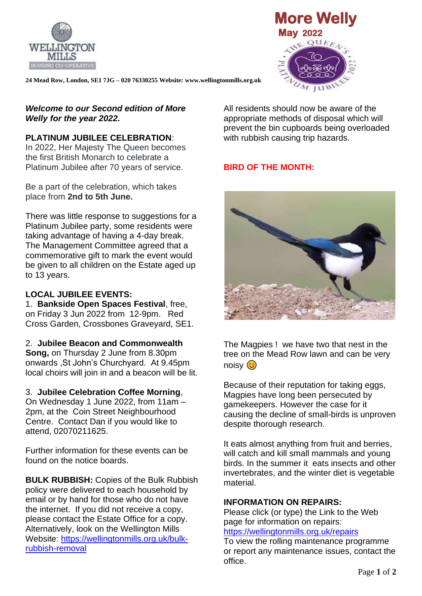



**24 Mead Row, London, SE1 7JG – 020 76330255 Website: www.wellingtonmills.org.uk** 

#### *Welcome to our Second edition of More Welly for the year 2022.*

## **PLATINUM JUBILEE CELEBRATION**:

In 2022, Her Majesty The Queen becomes the first British Monarch to celebrate a Platinum Jubilee after 70 years of service.

Be a part of the celebration, which takes place from **2nd to 5th June.**

There was little response to suggestions for a Platinum Jubilee party, some residents were taking advantage of having a 4-day break. The Management Committee agreed that a commemorative gift to mark the event would be given to all children on the Estate aged up to 13 years.

## **LOCAL JUBILEE EVENTS:**

1. **Bankside Open Spaces Festival**, free, on Friday 3 Jun 2022 from 12-9pm. Red Cross Garden, Crossbones Graveyard, SE1.

## 2. **Jubilee Beacon and Commonwealth**

**Song,** on Thursday 2 June from 8.30pm onwards ,St John's Churchyard. At 9.45pm local choirs will join in and a beacon will be lit.

#### 3. **Jubilee Celebration Coffee Morning**,

On Wednesday 1 June 2022, from 11am – 2pm, at the Coin Street Neighbourhood Centre. Contact Dan if you would like to attend, 02070211625.

Further information for these events can be found on the notice boards.

**BULK RUBBISH:** Copies of the Bulk Rubbish policy were delivered to each household by email or by hand for those who do not have the internet. If you did not receive a copy, please contact the Estate Office for a copy. Alternatively, look on the Wellington Mills Website: [https://wellingtonmills.org.uk/bulk](https://wellingtonmills.org.uk/bulk-rubbish-removal)[rubbish-removal](https://wellingtonmills.org.uk/bulk-rubbish-removal)

All residents should now be aware of the appropriate methods of disposal which will prevent the bin cupboards being overloaded with rubbish causing trip hazards.

# **BIRD OF THE MONTH:**



The Magpies ! we have two that nest in the tree on the Mead Row lawn and can be very noisy <mark>හ</mark>

Because of their reputation for taking eggs, Magpies have long been persecuted by gamekeepers. However the case for it causing the decline of small-birds is unproven despite thorough research.

It eats almost anything from fruit and berries, will catch and kill small mammals and young birds. In the summer it eats insects and other invertebrates, and the winter diet is vegetable material.

#### **INFORMATION ON REPAIRS:**

Please click (or type) the Link to the Web page for information on repairs:

<https://wellingtonmills.org.uk/repairs>

To view the rolling maintenance programme or report any maintenance issues, contact the office.